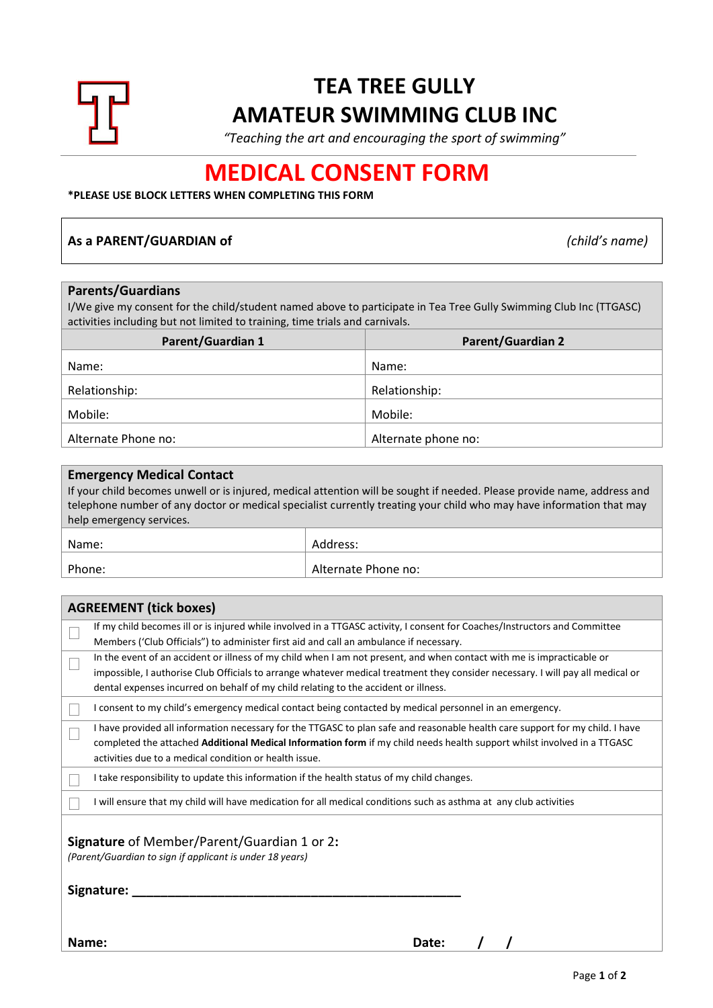

## **TEA TREE GULLY AMATEUR SWIMMING CLUB INC**

*"Teaching the art and encouraging the sport of swimming"*

# **MEDICAL CONSENT FORM**

### **\*PLEASE USE BLOCK LETTERS WHEN COMPLETING THIS FORM**

### **As a PARENT/GUARDIAN of** *(child's name)*

#### **Parents/Guardians**

I/We give my consent for the child/student named above to participate in Tea Tree Gully Swimming Club Inc (TTGASC) activities including but not limited to training, time trials and carnivals.

| <b>Parent/Guardian 1</b> | <b>Parent/Guardian 2</b> |
|--------------------------|--------------------------|
| Name:                    | Name:                    |
| Relationship:            | Relationship:            |
| Mobile:                  | Mobile:                  |
| Alternate Phone no:      | Alternate phone no:      |

#### **Emergency Medical Contact**

If your child becomes unwell or is injured, medical attention will be sought if needed. Please provide name, address and telephone number of any doctor or medical specialist currently treating your child who may have information that may help emergency services.

| Name:  | Address:            |
|--------|---------------------|
| Phone: | Alternate Phone no: |

| <b>AGREEMENT (tick boxes)</b>                                                                                  |                                                                                                                                 |  |  |  |
|----------------------------------------------------------------------------------------------------------------|---------------------------------------------------------------------------------------------------------------------------------|--|--|--|
|                                                                                                                | If my child becomes ill or is injured while involved in a TTGASC activity, I consent for Coaches/Instructors and Committee      |  |  |  |
|                                                                                                                | Members ('Club Officials") to administer first aid and call an ambulance if necessary.                                          |  |  |  |
|                                                                                                                | In the event of an accident or illness of my child when I am not present, and when contact with me is impracticable or          |  |  |  |
|                                                                                                                | impossible, I authorise Club Officials to arrange whatever medical treatment they consider necessary. I will pay all medical or |  |  |  |
|                                                                                                                | dental expenses incurred on behalf of my child relating to the accident or illness.                                             |  |  |  |
|                                                                                                                | I consent to my child's emergency medical contact being contacted by medical personnel in an emergency.                         |  |  |  |
|                                                                                                                | I have provided all information necessary for the TTGASC to plan safe and reasonable health care support for my child. I have   |  |  |  |
|                                                                                                                | completed the attached Additional Medical Information form if my child needs health support whilst involved in a TTGASC         |  |  |  |
|                                                                                                                | activities due to a medical condition or health issue.                                                                          |  |  |  |
|                                                                                                                | I take responsibility to update this information if the health status of my child changes.                                      |  |  |  |
|                                                                                                                | I will ensure that my child will have medication for all medical conditions such as asthma at any club activities               |  |  |  |
| <b>Signature</b> of Member/Parent/Guardian 1 or 2:<br>(Parent/Guardian to sign if applicant is under 18 years) |                                                                                                                                 |  |  |  |
| Signature:                                                                                                     |                                                                                                                                 |  |  |  |
|                                                                                                                |                                                                                                                                 |  |  |  |
|                                                                                                                |                                                                                                                                 |  |  |  |
| Name:                                                                                                          | Date:                                                                                                                           |  |  |  |